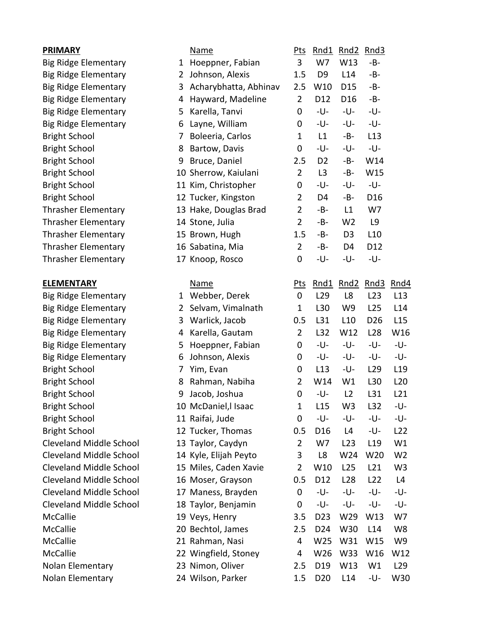| <b>PRIMARY</b>                 |              | Name                  | <u>Pts</u>       | Rnd1                | Rnd2            | Rnd3            |                 |
|--------------------------------|--------------|-----------------------|------------------|---------------------|-----------------|-----------------|-----------------|
| Big Ridge Elementary           | $\mathbf{1}$ | Hoeppner, Fabian      | 3                | W7                  | W13             | -B-             |                 |
| <b>Big Ridge Elementary</b>    | $\mathbf{2}$ | Johnson, Alexis       | 1.5              | D <sub>9</sub>      | L14             | $-B-$           |                 |
| <b>Big Ridge Elementary</b>    | 3            | Acharybhatta, Abhinav | 2.5              | W10                 | D <sub>15</sub> | -B-             |                 |
| <b>Big Ridge Elementary</b>    | 4            | Hayward, Madeline     | $\overline{2}$   | D12                 | D <sub>16</sub> | $-B-$           |                 |
| <b>Big Ridge Elementary</b>    | 5            | Karella, Tanvi        | 0                | -U-                 | -U-             | -U-             |                 |
| <b>Big Ridge Elementary</b>    | 6            | Layne, William        | 0                | -U-                 | -U-             | -U-             |                 |
| <b>Bright School</b>           | 7            | Boleeria, Carlos      | 1                | L1                  | -B-             | L13             |                 |
| <b>Bright School</b>           | 8            | Bartow, Davis         | $\boldsymbol{0}$ | -U-                 | -U-             | -U-             |                 |
| <b>Bright School</b>           | 9            | Bruce, Daniel         | 2.5              | D <sub>2</sub>      | $-B-$           | W14             |                 |
| <b>Bright School</b>           |              | 10 Sherrow, Kaiulani  | $\overline{2}$   | L3                  | -B-             | W15             |                 |
| <b>Bright School</b>           |              | 11 Kim, Christopher   | 0                | -U-                 | -U-             | -U-             |                 |
| <b>Bright School</b>           |              | 12 Tucker, Kingston   | $\overline{2}$   | D <sub>4</sub>      | -B-             | D <sub>16</sub> |                 |
| <b>Thrasher Elementary</b>     |              | 13 Hake, Douglas Brad | $\overline{2}$   | -B-                 | L1              | W7              |                 |
| <b>Thrasher Elementary</b>     |              | 14 Stone, Julia       | $\overline{2}$   | -B-                 | W <sub>2</sub>  | L9              |                 |
| <b>Thrasher Elementary</b>     |              | 15 Brown, Hugh        | 1.5              | -B-                 | D <sub>3</sub>  | L10             |                 |
| <b>Thrasher Elementary</b>     |              | 16 Sabatina, Mia      | $\overline{2}$   | -B-                 | D4              | D12             |                 |
| <b>Thrasher Elementary</b>     |              | 17 Knoop, Rosco       | 0                | -U-                 | -U-             | -U-             |                 |
| <b>ELEMENTARY</b>              |              | <b>Name</b>           | <u>Pts</u>       | Rnd1                |                 | Rnd2 Rnd3       | Rnd4            |
| Big Ridge Elementary           |              | 1 Webber, Derek       | $\mathbf 0$      | L <sub>29</sub>     | L8              | L <sub>23</sub> | L13             |
| <b>Big Ridge Elementary</b>    | $\mathbf{2}$ | Selvam, Vimalnath     | $\mathbf{1}$     | L30                 | W9              | L25             | L14             |
| <b>Big Ridge Elementary</b>    | 3            | Warlick, Jacob        | 0.5              | L31                 | L10             | D <sub>26</sub> | L15             |
| <b>Big Ridge Elementary</b>    | 4            | Karella, Gautam       | $\overline{2}$   | L32                 | W12             | L <sub>28</sub> | W16             |
| <b>Big Ridge Elementary</b>    | 5            | Hoeppner, Fabian      | 0                | -U-                 | -U-             | -U-             | -U-             |
| <b>Big Ridge Elementary</b>    | 6            | Johnson, Alexis       | 0                | -U-                 | -U-             | -U-             | -U-             |
| <b>Bright School</b>           | 7            | Yim, Evan             | 0                | L13                 | -U-             | L <sub>29</sub> | L <sub>19</sub> |
| <b>Bright School</b>           | 8            | Rahman, Nabiha        | $\overline{2}$   | W14                 | W1              | L30             | L20             |
| <b>Bright School</b>           | 9            | Jacob, Joshua         | $\boldsymbol{0}$ | -U-                 | L2              | L31             | L21             |
| <b>Bright School</b>           |              | 10 McDaniel, IIsaac   | 1                | L15                 | W <sub>3</sub>  | L32             | -U-             |
| <b>Bright School</b>           |              | 11 Raifai, Jude       | $\mathbf 0$      | -U-                 | -U-             | -U-             | -U-             |
| <b>Bright School</b>           |              | 12 Tucker, Thomas     | 0.5              | D <sub>16</sub>     | L4              | -U-             | L <sub>22</sub> |
| <b>Cleveland Middle School</b> |              | 13 Taylor, Caydyn     | 2                | W7                  | L23             | L <sub>19</sub> | W1              |
| <b>Cleveland Middle School</b> |              | 14 Kyle, Elijah Peyto | 3                | L8                  | W24             | W20             | W <sub>2</sub>  |
| <b>Cleveland Middle School</b> |              | 15 Miles, Caden Xavie | 2                | W10                 | L25             | L21             | W <sub>3</sub>  |
| <b>Cleveland Middle School</b> |              | 16 Moser, Grayson     | 0.5              | D <sub>12</sub>     | L <sub>28</sub> | L22             | L4              |
| <b>Cleveland Middle School</b> |              | 17 Maness, Brayden    | $\boldsymbol{0}$ | -U-                 | -U-             | -U-             | -U-             |
| Cleveland Middle School        |              | 18 Taylor, Benjamin   | 0                | -U-                 | -U-             | -U-             | -U-             |
| McCallie                       |              | 19 Veys, Henry        | 3.5              | D <sub>23</sub>     | W29             | W13             | W7              |
| McCallie                       |              | 20 Bechtol, James     | 2.5              | D <sub>24</sub>     | W30             | L14             | W <sub>8</sub>  |
| McCallie                       |              | 21 Rahman, Nasi       | 4                | W25                 | W31             | W15             | W9              |
| McCallie                       |              | 22 Wingfield, Stoney  | 4                | W26                 | W33             | W16             | W12             |
| Nolan Elementary               |              | 23 Nimon, Oliver      | 2.5              | D <sub>19</sub>     | W13             | W1              | L <sub>29</sub> |
| Nolan Elementary               |              | 24 Wilson, Parker     |                  | 1.5 D <sub>20</sub> | L14             | -U-             | W30             |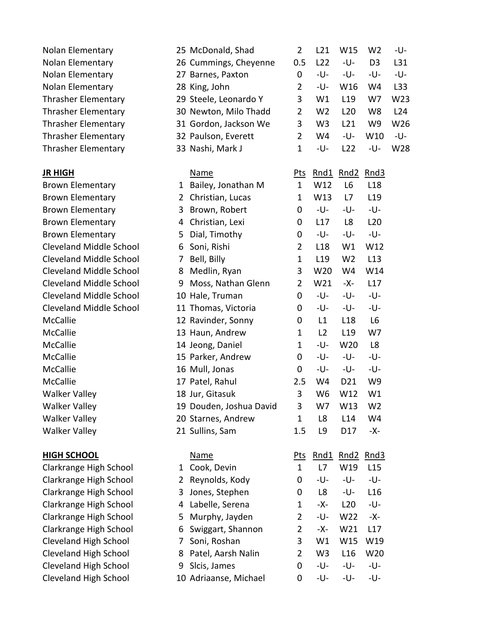| Nolan Elementary           |
|----------------------------|
| Nolan Elementary           |
| Nolan Elementary           |
| Nolan Elementary           |
| <b>Thrasher Elementary</b> |
| <b>Thrasher Elementary</b> |
| <b>Thrasher Elementary</b> |
| <b>Thrasher Elementary</b> |
| <b>Thrasher Elementary</b> |
|                            |

## **HIGH SCHOOL**

| Nolan Elementary               |              | 25 McDonald, Shad       | $\overline{2}$   | L21             | W15             | W <sub>2</sub>  | -U- |
|--------------------------------|--------------|-------------------------|------------------|-----------------|-----------------|-----------------|-----|
| Nolan Elementary               |              | 26 Cummings, Cheyenne   | 0.5              | L22             | -U-             | D <sub>3</sub>  | L31 |
| Nolan Elementary               |              | 27 Barnes, Paxton       | $\mathbf 0$      | -U-             | -U-             | -U-             | -U- |
| Nolan Elementary               |              | 28 King, John           | $\overline{2}$   | -U-             | W16             | W4              | L33 |
| Thrasher Elementary            |              | 29 Steele, Leonardo Y   | 3                | W1              | L <sub>19</sub> | W7              | W23 |
| Thrasher Elementary            |              | 30 Newton, Milo Thadd   | $\overline{2}$   | W <sub>2</sub>  | L20             | W8              | L24 |
| Thrasher Elementary            |              | 31 Gordon, Jackson We   | 3                | W <sub>3</sub>  | L21             | W9              | W26 |
| Thrasher Elementary            |              | 32 Paulson, Everett     | $\overline{2}$   | W4              | -U-             | W10             | -U- |
| Thrasher Elementary            |              | 33 Nashi, Mark J        | $\mathbf{1}$     | -U-             | L <sub>22</sub> | -U-             | W28 |
| <u>JR HIGH</u>                 |              | <b>Name</b>             | <u>Pts</u>       | <u>Rnd1</u>     | Rnd2            | Rnd3            |     |
| <b>Brown Elementary</b>        | $\mathbf{1}$ | Bailey, Jonathan M      | $\mathbf{1}$     | W12             | L <sub>6</sub>  | L <sub>18</sub> |     |
| <b>Brown Elementary</b>        | 2            | Christian, Lucas        | $\mathbf{1}$     | W13             | L7              | L <sub>19</sub> |     |
| <b>Brown Elementary</b>        | 3            | Brown, Robert           | 0                | -U-             | -U-             | -U-             |     |
| <b>Brown Elementary</b>        | 4            | Christian, Lexi         | 0                | L17             | L8              | L <sub>20</sub> |     |
| <b>Brown Elementary</b>        | 5            | Dial, Timothy           | 0                | -U-             | -U-             | -U-             |     |
| <b>Cleveland Middle School</b> | 6            | Soni, Rishi             | $\overline{2}$   | L <sub>18</sub> | W1              | W12             |     |
| <b>Cleveland Middle School</b> | 7            | Bell, Billy             | $\mathbf{1}$     | L <sub>19</sub> | W <sub>2</sub>  | L13             |     |
| <b>Cleveland Middle School</b> | 8            | Medlin, Ryan            | 3                | W20             | W4              | W14             |     |
| <b>Cleveland Middle School</b> | 9            | Moss, Nathan Glenn      | 2                | W21             | -X-             | L17             |     |
| <b>Cleveland Middle School</b> |              | 10 Hale, Truman         | $\mathbf 0$      | -U-             | -U-             | -U-             |     |
| <b>Cleveland Middle School</b> |              | 11 Thomas, Victoria     | 0                | -U-             | -U-             | -U-             |     |
| <b>McCallie</b>                |              | 12 Ravinder, Sonny      | $\mathbf 0$      | L1              | L <sub>18</sub> | L <sub>6</sub>  |     |
| McCallie                       |              | 13 Haun, Andrew         | 1                | L2              | L19             | W7              |     |
| McCallie                       |              | 14 Jeong, Daniel        | $\mathbf{1}$     | -U-             | W20             | L <sub>8</sub>  |     |
| McCallie                       |              | 15 Parker, Andrew       | 0                | -U-             | -U-             | -U-             |     |
| McCallie                       |              | 16 Mull, Jonas          | 0                | -U-             | -U-             | -U-             |     |
| McCallie                       |              | 17 Patel, Rahul         | 2.5              | W4              | D <sub>21</sub> | W9              |     |
| <b>Walker Valley</b>           |              | 18 Jur, Gitasuk         | $\mathbf{3}$     | W <sub>6</sub>  | W12             | W1              |     |
| Walker Valley                  |              | 19 Douden, Joshua David | 3                | W7              | W13             | W <sub>2</sub>  |     |
| <b>Walker Valley</b>           |              | 20 Starnes, Andrew      | $\mathbf{1}$     | L8              | L14             | W4              |     |
| <b>Walker Valley</b>           |              | 21 Sullins, Sam         | 1.5              | L9              | D17             | -X-             |     |
| <b>HIGH SCHOOL</b>             |              | <b>Name</b>             | <u>Pts</u>       | Rnd1            | Rnd2            | Rnd3            |     |
| Clarkrange High School         | 1            | Cook, Devin             | $\mathbf{1}$     | L7              | W19             | L15             |     |
| Clarkrange High School         | 2            | Reynolds, Kody          | 0                | -U-             | -U-             | -U-             |     |
| Clarkrange High School         | 3            | Jones, Stephen          | 0                | L8              | -U-             | L16             |     |
| Clarkrange High School         | 4            | Labelle, Serena         | $\mathbf{1}$     | -X-             | L20             | -U-             |     |
| Clarkrange High School         | 5            | Murphy, Jayden          | $\overline{2}$   | -U-             | W22             | -X-             |     |
| Clarkrange High School         | 6            | Swiggart, Shannon       | 2                | -X-             | W21             | L17             |     |
| <b>Cleveland High School</b>   | 7            | Soni, Roshan            | 3                | W1              | W15             | W19             |     |
| <b>Cleveland High School</b>   | 8            | Patel, Aarsh Nalin      | 2                | W <sub>3</sub>  | L16             | W20             |     |
| <b>Cleveland High School</b>   | 9            | Slcis, James            | $\boldsymbol{0}$ | -U-             | -U-             | -U-             |     |
| <b>Cleveland High School</b>   |              | 10 Adriaanse, Michael   | 0                | -U-             | -U-             | -U-             |     |
|                                |              |                         |                  |                 |                 |                 |     |